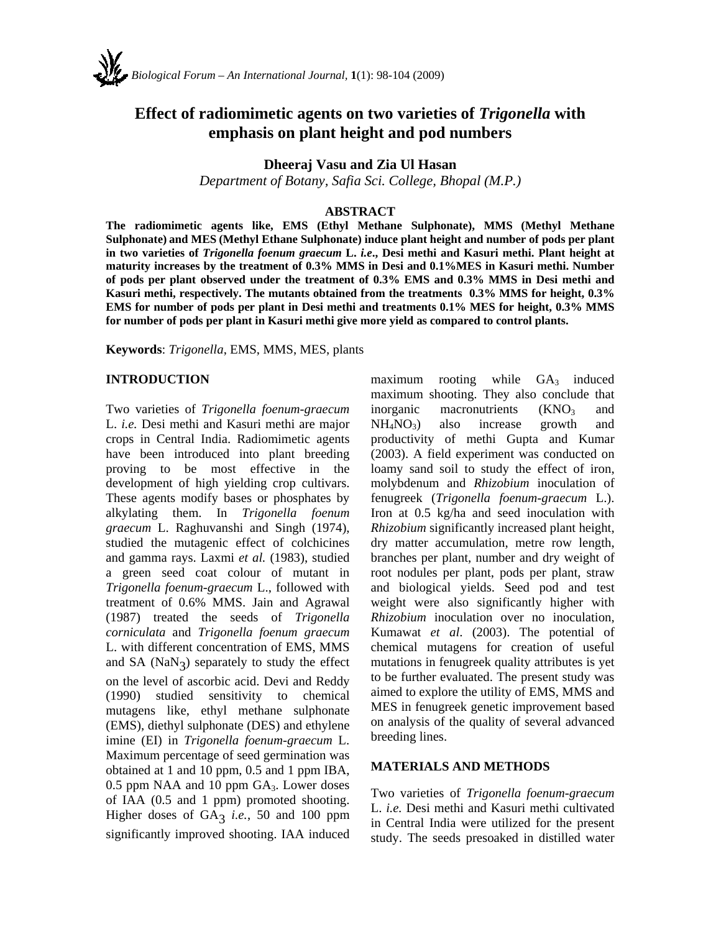

# **Effect of radiomimetic agents on two varieties of** *Trigonella* **with emphasis on plant height and pod numbers**

**Dheeraj Vasu and Zia Ul Hasan** 

*Department of Botany, Safia Sci. College, Bhopal (M.P.)* 

#### **ABSTRACT**

**The radiomimetic agents like, EMS (Ethyl Methane Sulphonate), MMS (Methyl Methane Sulphonate) and MES (Methyl Ethane Sulphonate) induce plant height and number of pods per plant in two varieties of** *Trigonella foenum graecum* **L.** *i.e***., Desi methi and Kasuri methi. Plant height at maturity increases by the treatment of 0.3% MMS in Desi and 0.1%MES in Kasuri methi. Number of pods per plant observed under the treatment of 0.3% EMS and 0.3% MMS in Desi methi and Kasuri methi, respectively. The mutants obtained from the treatments 0.3% MMS for height, 0.3% EMS for number of pods per plant in Desi methi and treatments 0.1% MES for height, 0.3% MMS for number of pods per plant in Kasuri methi give more yield as compared to control plants.** 

**Keywords**: *Trigonella*, EMS, MMS, MES, plants

### **INTRODUCTION**

Two varieties of *Trigonella foenum-graecum* L. *i.e.* Desi methi and Kasuri methi are major crops in Central India. Radiomimetic agents have been introduced into plant breeding proving to be most effective in the development of high yielding crop cultivars. These agents modify bases or phosphates by alkylating them. In *Trigonella foenum graecum* L. Raghuvanshi and Singh (1974), studied the mutagenic effect of colchicines and gamma rays. Laxmi *et al.* (1983), studied a green seed coat colour of mutant in *Trigonella foenum-graecum* L., followed with treatment of 0.6% MMS. Jain and Agrawal (1987) treated the seeds of *Trigonella corniculata* and *Trigonella foenum graecum* L. with different concentration of EMS, MMS and  $SA(NaN<sub>3</sub>)$  separately to study the effect on the level of ascorbic acid. Devi and Reddy (1990) studied sensitivity to chemical mutagens like, ethyl methane sulphonate (EMS), diethyl sulphonate (DES) and ethylene imine (EI) in *Trigonella foenum-graecum* L. Maximum percentage of seed germination was obtained at 1 and 10 ppm, 0.5 and 1 ppm IBA, 0.5 ppm NAA and 10 ppm GA<sub>3</sub>. Lower doses of IAA (0.5 and 1 ppm) promoted shooting. Higher doses of GA<sub>3</sub> *i.e.*, 50 and 100 ppm significantly improved shooting. IAA induced

maximum rooting while  $GA_3$  induced maximum shooting. They also conclude that inorganic macronutrients  $(KNO<sub>3</sub>$  and  $NH<sub>4</sub>NO<sub>3</sub>$  also increase growth and productivity of methi Gupta and Kumar (2003). A field experiment was conducted on loamy sand soil to study the effect of iron, molybdenum and *Rhizobium* inoculation of fenugreek (*Trigonella foenum-graecum* L.). Iron at 0.5 kg/ha and seed inoculation with *Rhizobium* significantly increased plant height, dry matter accumulation, metre row length, branches per plant, number and dry weight of root nodules per plant, pods per plant, straw and biological yields. Seed pod and test weight were also significantly higher with *Rhizobium* inoculation over no inoculation, Kumawat *et al*. (2003). The potential of chemical mutagens for creation of useful mutations in fenugreek quality attributes is yet to be further evaluated. The present study was aimed to explore the utility of EMS, MMS and MES in fenugreek genetic improvement based on analysis of the quality of several advanced breeding lines.

### **MATERIALS AND METHODS**

Two varieties of *Trigonella foenum-graecum* L. *i.e.* Desi methi and Kasuri methi cultivated in Central India were utilized for the present study. The seeds presoaked in distilled water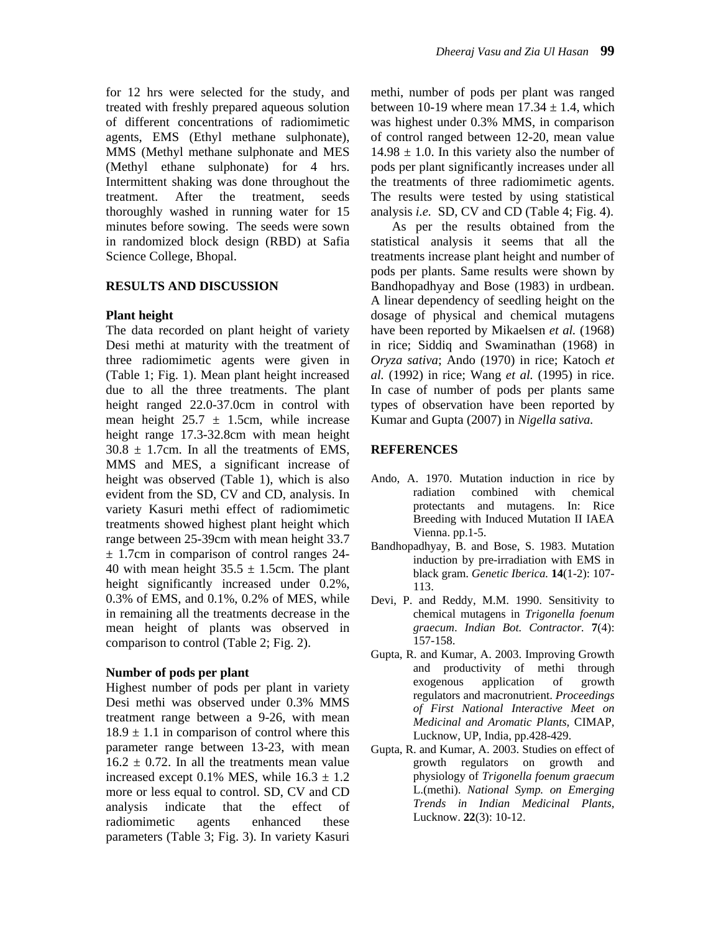for 12 hrs were selected for the study, and treated with freshly prepared aqueous solution of different concentrations of radiomimetic agents, EMS (Ethyl methane sulphonate), MMS (Methyl methane sulphonate and MES (Methyl ethane sulphonate) for 4 hrs. Intermittent shaking was done throughout the treatment. After the treatment, seeds thoroughly washed in running water for 15 minutes before sowing. The seeds were sown in randomized block design (RBD) at Safia Science College, Bhopal.

## **RESULTS AND DISCUSSION**

# **Plant height**

The data recorded on plant height of variety Desi methi at maturity with the treatment of three radiomimetic agents were given in (Table 1; Fig. 1). Mean plant height increased due to all the three treatments. The plant height ranged 22.0-37.0cm in control with mean height  $25.7 \pm 1.5$ cm, while increase height range 17.3-32.8cm with mean height  $30.8 \pm 1.7$ cm. In all the treatments of EMS, MMS and MES, a significant increase of height was observed (Table 1), which is also evident from the SD, CV and CD, analysis. In variety Kasuri methi effect of radiomimetic treatments showed highest plant height which range between 25-39cm with mean height 33.7  $\pm$  1.7cm in comparison of control ranges 24-40 with mean height  $35.5 \pm 1.5$ cm. The plant height significantly increased under  $0.2\%$ , 0.3% of EMS, and 0.1%, 0.2% of MES, while in remaining all the treatments decrease in the mean height of plants was observed in comparison to control (Table 2; Fig. 2).

## **Number of pods per plant**

Highest number of pods per plant in variety Desi methi was observed under 0.3% MMS treatment range between a 9-26, with mean  $18.9 \pm 1.1$  in comparison of control where this parameter range between 13-23, with mean  $16.2 \pm 0.72$ . In all the treatments mean value increased except 0.1% MES, while  $16.3 \pm 1.2$ more or less equal to control. SD, CV and CD analysis indicate that the effect of radiomimetic agents enhanced these parameters (Table 3; Fig. 3). In variety Kasuri methi, number of pods per plant was ranged between 10-19 where mean  $17.34 \pm 1.4$ , which was highest under 0.3% MMS, in comparison of control ranged between 12-20, mean value  $14.98 \pm 1.0$ . In this variety also the number of pods per plant significantly increases under all the treatments of three radiomimetic agents. The results were tested by using statistical analysis *i.e.* SD, CV and CD (Table 4; Fig. 4).

As per the results obtained from the statistical analysis it seems that all the treatments increase plant height and number of pods per plants. Same results were shown by Bandhopadhyay and Bose (1983) in urdbean. A linear dependency of seedling height on the dosage of physical and chemical mutagens have been reported by Mikaelsen *et al.* (1968) in rice; Siddiq and Swaminathan (1968) in *Oryza sativa*; Ando (1970) in rice; Katoch *et al.* (1992) in rice; Wang *et al.* (1995) in rice. In case of number of pods per plants same types of observation have been reported by Kumar and Gupta (2007) in *Nigella sativa.*

# **REFERENCES**

- Ando, A. 1970. Mutation induction in rice by radiation combined with chemical protectants and mutagens. In: Rice Breeding with Induced Mutation II IAEA Vienna. pp.1-5.
- Bandhopadhyay, B. and Bose, S. 1983. Mutation induction by pre-irradiation with EMS in black gram. *Genetic Iberica.* **14**(1-2): 107- 113.
- Devi, P. and Reddy, M.M. 1990. Sensitivity to chemical mutagens in *Trigonella foenum graecum*. *Indian Bot. Contractor.* **7**(4): 157-158.
- Gupta, R. and Kumar, A. 2003. Improving Growth and productivity of methi through exogenous application of growth regulators and macronutrient. *Proceedings of First National Interactive Meet on Medicinal and Aromatic Plants,* CIMAP, Lucknow, UP, India, pp.428-429.
- Gupta, R. and Kumar, A. 2003. Studies on effect of growth regulators on growth and physiology of *Trigonella foenum graecum* L.(methi). *National Symp. on Emerging Trends in Indian Medicinal Plants,*  Lucknow. **22**(3): 10-12.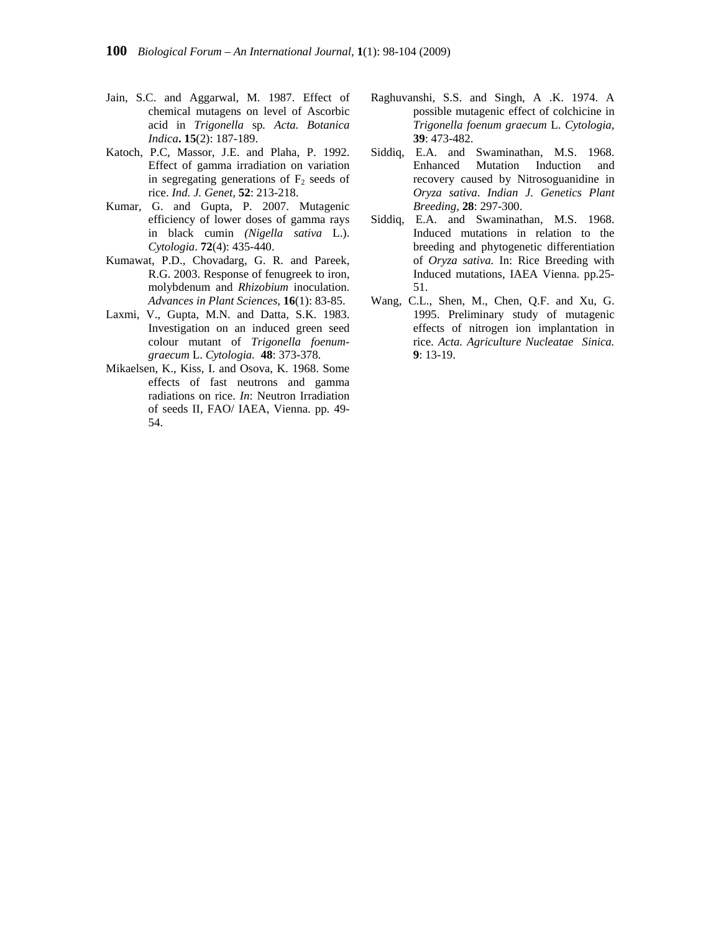- Jain, S.C. and Aggarwal, M. 1987. Effect of chemical mutagens on level of Ascorbic acid in *Trigonella* sp*. Acta. Botanica Indica***. 15**(2): 187-189.
- Katoch, P.C, Massor, J.E. and Plaha, P. 1992. Effect of gamma irradiation on variation in segregating generations of  $F_2$  seeds of rice. *Ind. J. Genet,* **52**: 213-218.
- Kumar, G. and Gupta, P. 2007. Mutagenic efficiency of lower doses of gamma rays in black cumin *(Nigella sativa* L.). *Cytologia*. **72**(4): 435-440.
- Kumawat, P.D., Chovadarg, G. R. and Pareek, R.G. 2003. Response of fenugreek to iron, molybdenum and *Rhizobium* inoculation. *Advances in Plant Sciences*, **16**(1): 83-85.
- Laxmi, V., Gupta, M.N. and Datta, S.K. 1983. Investigation on an induced green seed colour mutant of *Trigonella foenumgraecum* L. *Cytologia.* **48**: 373-378.
- Mikaelsen, K., Kiss, I. and Osova, K. 1968. Some effects of fast neutrons and gamma radiations on rice. *In*: Neutron Irradiation of seeds II, FAO/ IAEA, Vienna. pp. 49- 54.
- Raghuvanshi, S.S. and Singh, A .K. 1974. A possible mutagenic effect of colchicine in *Trigonella foenum graecum* L. *Cytologia,* **39**: 473-482.
- Siddiq, E.A. and Swaminathan, M.S. 1968. Enhanced Mutation Induction and recovery caused by Nitrosoguanidine in *Oryza sativa*. *Indian J. Genetics Plant Breeding,* **28**: 297-300.
- Siddiq, E.A. and Swaminathan, M.S. 1968. Induced mutations in relation to the breeding and phytogenetic differentiation of *Oryza sativa.* In: Rice Breeding with Induced mutations, IAEA Vienna. pp.25- 51.
- Wang, C.L., Shen, M., Chen, Q.F. and Xu, G. 1995. Preliminary study of mutagenic effects of nitrogen ion implantation in rice. *Acta. Agriculture Nucleatae Sinica.* **9**: 13-19.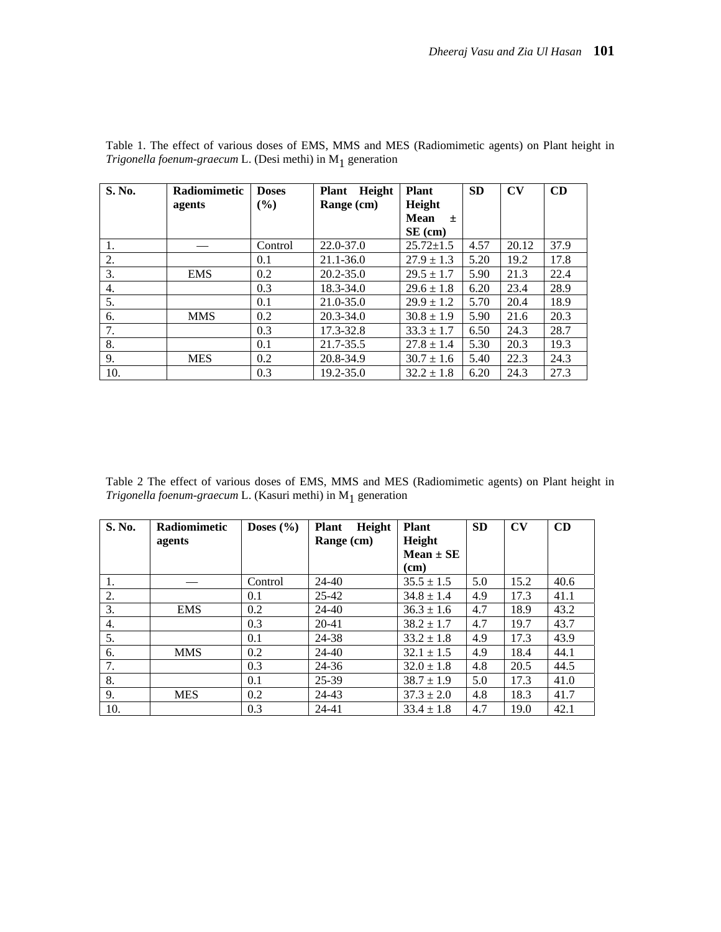| S. No. | Radiomimetic | <b>Doses</b> | Height<br><b>Plant</b> | <b>Plant</b>    | <b>SD</b> | $\mathbf{C}\mathbf{V}$ | CD   |
|--------|--------------|--------------|------------------------|-----------------|-----------|------------------------|------|
|        | agents       | (%)          | Range (cm)             | Height          |           |                        |      |
|        |              |              |                        | Mean<br>士       |           |                        |      |
|        |              |              |                        | $SE$ (cm)       |           |                        |      |
| 1.     |              | Control      | 22.0-37.0              | $25.72 \pm 1.5$ | 4.57      | 20.12                  | 37.9 |
| 2.     |              | 0.1          | $21.1 - 36.0$          | $27.9 \pm 1.3$  | 5.20      | 19.2                   | 17.8 |
| 3.     | <b>EMS</b>   | 0.2          | $20.2 - 35.0$          | $29.5 \pm 1.7$  | 5.90      | 21.3                   | 22.4 |
| 4.     |              | 0.3          | 18.3-34.0              | $29.6 \pm 1.8$  | 6.20      | 23.4                   | 28.9 |
| 5.     |              | 0.1          | 21.0-35.0              | $29.9 \pm 1.2$  | 5.70      | 20.4                   | 18.9 |
| 6.     | <b>MMS</b>   | 0.2          | $20.3 - 34.0$          | $30.8 \pm 1.9$  | 5.90      | 21.6                   | 20.3 |
| 7.     |              | 0.3          | 17.3-32.8              | $33.3 \pm 1.7$  | 6.50      | 24.3                   | 28.7 |
| 8.     |              | 0.1          | 21.7-35.5              | $27.8 \pm 1.4$  | 5.30      | 20.3                   | 19.3 |
| 9.     | <b>MES</b>   | 0.2          | 20.8-34.9              | $30.7 \pm 1.6$  | 5.40      | 22.3                   | 24.3 |
| 10.    |              | 0.3          | 19.2-35.0              | $32.2 \pm 1.8$  | 6.20      | 24.3                   | 27.3 |

Table 1. The effect of various doses of EMS, MMS and MES (Radiomimetic agents) on Plant height in *Trigonella foenum-graecum* L. (Desi methi) in M1 generation

Table 2 The effect of various doses of EMS, MMS and MES (Radiomimetic agents) on Plant height in *Trigonella foenum-graecum* L. (Kasuri methi) in M1 generation

| S. No. | <b>Radiomimetic</b> | Doses $(\% )$ | Height<br><b>Plant</b> | <b>Plant</b>   | <b>SD</b> | $\mathbf{C}\mathbf{V}$ | CD   |
|--------|---------------------|---------------|------------------------|----------------|-----------|------------------------|------|
|        | agents              |               | Range (cm)             | Height         |           |                        |      |
|        |                     |               |                        | Mean $\pm$ SE  |           |                        |      |
|        |                     |               |                        | (cm)           |           |                        |      |
| 1.     |                     | Control       | $24 - 40$              | $35.5 \pm 1.5$ | 5.0       | 15.2                   | 40.6 |
| 2.     |                     | 0.1           | $25 - 42$              | $34.8 \pm 1.4$ | 4.9       | 17.3                   | 41.1 |
| 3.     | <b>EMS</b>          | 0.2           | $24 - 40$              | $36.3 \pm 1.6$ | 4.7       | 18.9                   | 43.2 |
| 4.     |                     | 0.3           | $20 - 41$              | $38.2 \pm 1.7$ | 4.7       | 19.7                   | 43.7 |
| 5.     |                     | 0.1           | 24-38                  | $33.2 \pm 1.8$ | 4.9       | 17.3                   | 43.9 |
| 6.     | <b>MMS</b>          | 0.2           | $24 - 40$              | $32.1 \pm 1.5$ | 4.9       | 18.4                   | 44.1 |
| 7.     |                     | 0.3           | 24-36                  | $32.0 \pm 1.8$ | 4.8       | 20.5                   | 44.5 |
| 8.     |                     | 0.1           | 25-39                  | $38.7 \pm 1.9$ | 5.0       | 17.3                   | 41.0 |
| 9.     | <b>MES</b>          | 0.2           | 24-43                  | $37.3 \pm 2.0$ | 4.8       | 18.3                   | 41.7 |
| 10.    |                     | 0.3           | $24 - 41$              | $33.4 \pm 1.8$ | 4.7       | 19.0                   | 42.1 |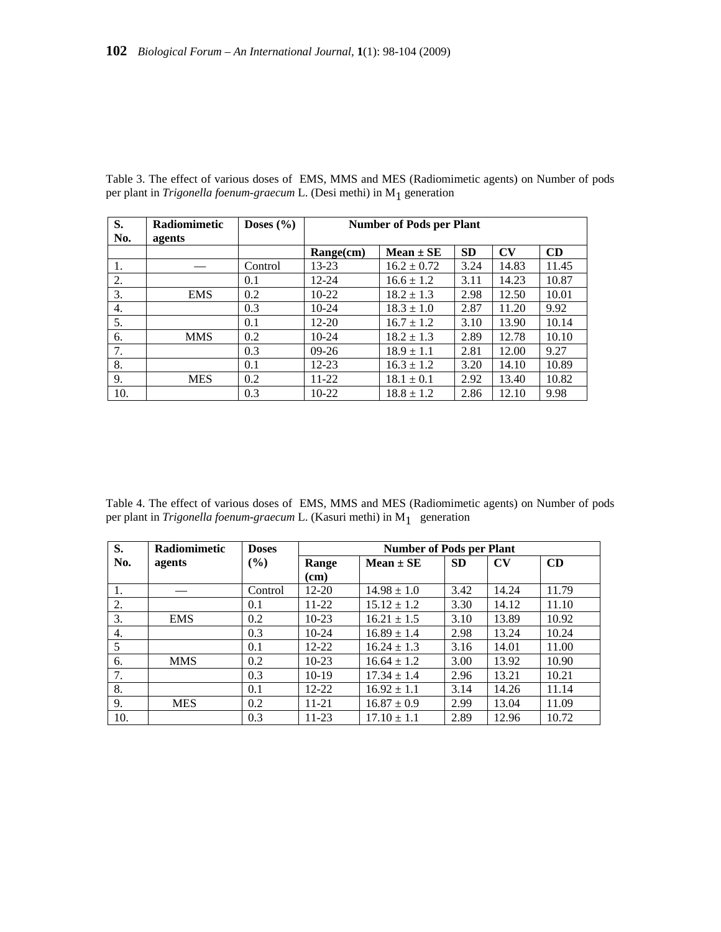| S.<br>No. | <b>Radiomimetic</b><br>agents | Doses $(\% )$ | <b>Number of Pods per Plant</b> |                 |           |                        |       |  |
|-----------|-------------------------------|---------------|---------------------------------|-----------------|-----------|------------------------|-------|--|
|           |                               |               | $Range$ (cm)                    | $Mean \pm SE$   | <b>SD</b> | $\mathbf{C}\mathbf{V}$ | CD    |  |
| 1.        |                               | Control       | $13 - 23$                       | $16.2 \pm 0.72$ | 3.24      | 14.83                  | 11.45 |  |
| 2.        |                               | 0.1           | $12 - 24$                       | $16.6 \pm 1.2$  | 3.11      | 14.23                  | 10.87 |  |
| 3.        | <b>EMS</b>                    | 0.2           | $10-22$                         | $18.2 \pm 1.3$  | 2.98      | 12.50                  | 10.01 |  |
| 4.        |                               | 0.3           | $10-24$                         | $18.3 \pm 1.0$  | 2.87      | 11.20                  | 9.92  |  |
| 5.        |                               | 0.1           | $12 - 20$                       | $16.7 \pm 1.2$  | 3.10      | 13.90                  | 10.14 |  |
| 6.        | <b>MMS</b>                    | 0.2           | $10-24$                         | $18.2 \pm 1.3$  | 2.89      | 12.78                  | 10.10 |  |
| 7.        |                               | 0.3           | $09-26$                         | $18.9 \pm 1.1$  | 2.81      | 12.00                  | 9.27  |  |
| 8.        |                               | 0.1           | $12 - 23$                       | $16.3 \pm 1.2$  | 3.20      | 14.10                  | 10.89 |  |
| 9.        | <b>MES</b>                    | 0.2           | $11 - 22$                       | $18.1 \pm 0.1$  | 2.92      | 13.40                  | 10.82 |  |
| 10.       |                               | 0.3           | $10-22$                         | $18.8 \pm 1.2$  | 2.86      | 12.10                  | 9.98  |  |

Table 3. The effect of various doses of EMS, MMS and MES (Radiomimetic agents) on Number of pods per plant in *Trigonella foenum-graecum* L. (Desi methi) in M<sub>1</sub> generation

Table 4. The effect of various doses of EMS, MMS and MES (Radiomimetic agents) on Number of pods per plant in  $Trigonella\,foenum-graecum$  L. (Kasuri methi) in  $\mathbf{M}_{1}^{-}$  generation

| S.  | Radiomimetic | <b>Doses</b> | <b>Number of Pods per Plant</b> |                 |           |                        |       |
|-----|--------------|--------------|---------------------------------|-----------------|-----------|------------------------|-------|
| No. | agents       | $(\%)$       | Range                           | $Mean \pm SE$   | <b>SD</b> | $\mathbf{C}\mathbf{V}$ | CD    |
|     |              |              | (cm)                            |                 |           |                        |       |
| 1.  |              | Control      | 12-20                           | $14.98 \pm 1.0$ | 3.42      | 14.24                  | 11.79 |
| 2.  |              | 0.1          | $11 - 22$                       | $15.12 \pm 1.2$ | 3.30      | 14.12                  | 11.10 |
| 3.  | <b>EMS</b>   | 0.2          | $10-23$                         | $16.21 \pm 1.5$ | 3.10      | 13.89                  | 10.92 |
| 4.  |              | 0.3          | $10-24$                         | $16.89 \pm 1.4$ | 2.98      | 13.24                  | 10.24 |
| 5   |              | 0.1          | $12 - 22$                       | $16.24 \pm 1.3$ | 3.16      | 14.01                  | 11.00 |
| 6.  | <b>MMS</b>   | 0.2          | $10-23$                         | $16.64 \pm 1.2$ | 3.00      | 13.92                  | 10.90 |
| 7.  |              | 0.3          | $10-19$                         | $17.34 \pm 1.4$ | 2.96      | 13.21                  | 10.21 |
| 8.  |              | 0.1          | $12 - 22$                       | $16.92 \pm 1.1$ | 3.14      | 14.26                  | 11.14 |
| 9.  | <b>MES</b>   | 0.2          | $11 - 21$                       | $16.87 \pm 0.9$ | 2.99      | 13.04                  | 11.09 |
| 10. |              | 0.3          | 11-23                           | $17.10 \pm 1.1$ | 2.89      | 12.96                  | 10.72 |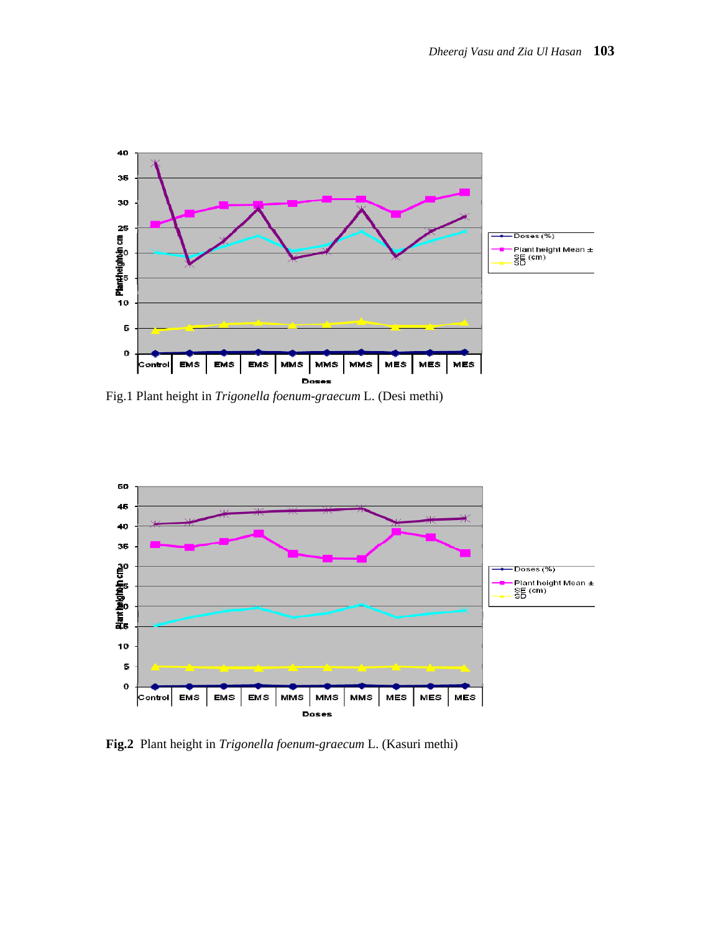

Fig.1 Plant height in *Trigonella foenum-graecum* L. (Desi methi)



**Fig.2** Plant height in *Trigonella foenum-graecum* L. (Kasuri methi)